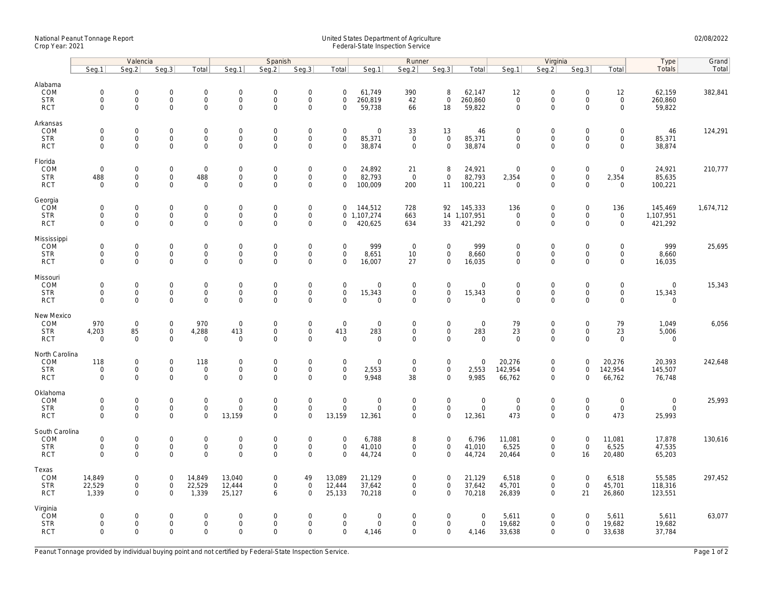## National Peanut Tonnage Report United States Department of Agriculture 02/08/2022 Crop Year: 2021 Federal-State Inspection Service

|                                                    | Valencia                                                  |                                                           |                                                   |                                                           | Spanish                           |                                                    |                                                        |                                                   | Runner                                  |                                           |                                                           |                                      | Virginia                                   |                                                        |                                                           |                                                           | Type                                 | Grand     |
|----------------------------------------------------|-----------------------------------------------------------|-----------------------------------------------------------|---------------------------------------------------|-----------------------------------------------------------|-----------------------------------|----------------------------------------------------|--------------------------------------------------------|---------------------------------------------------|-----------------------------------------|-------------------------------------------|-----------------------------------------------------------|--------------------------------------|--------------------------------------------|--------------------------------------------------------|-----------------------------------------------------------|-----------------------------------------------------------|--------------------------------------|-----------|
|                                                    | Seg.1                                                     | Seg.2                                                     | Seg.3                                             | Total                                                     | Seg.1                             | Seg.2                                              | Seq.3                                                  | Total                                             | Seg.1                                   | Seg.2                                     | Seg.3                                                     | Total                                | Seg.1                                      | Seq.2                                                  | Seg.3                                                     | Total                                                     | Totals                               | Total     |
| Alabama<br>COM<br><b>STR</b><br><b>RCT</b>         | $\mathsf{O}\xspace$<br>$\mathsf{O}\xspace$<br>$\mathbf 0$ | $\mathsf{O}\xspace$<br>$\mathsf{O}\xspace$<br>$\Omega$    | $\mathbf 0$<br>$\mathsf 0$<br>$\Omega$            | $\mathbf 0$<br>$\mathsf{O}\xspace$<br>$\mathbf 0$         | $\mathbf 0$<br>0<br>$\mathbf 0$   | $\mathbf 0$<br>$\mathbf 0$<br>$\mathbf 0$          | $\mathsf{O}$<br>$\mathsf{O}$<br>$\mathbf 0$            | $\mathbf 0$<br>$\mathbf 0$<br>$\mathbf 0$         | 61,749<br>260,819<br>59,738             | 390<br>42<br>66                           | 8<br>$\mathbf 0$<br>18                                    | 62,147<br>260,860<br>59,822          | 12<br>$\mathsf{O}\xspace$<br>$\mathbf 0$   | $\mathsf 0$<br>$\mathsf 0$<br>$\mathbf 0$              | $\mathbf 0$<br>$\mathsf{O}\xspace$<br>$\mathbf 0$         | 12<br>$\mathsf{O}$<br>$\mathbf 0$                         | 62,159<br>260,860<br>59,822          | 382,841   |
| Arkansas<br>COM<br><b>STR</b><br><b>RCT</b>        | $\mathsf 0$<br>$\mathbf 0$<br>$\mathbf 0$                 | $\mathbf 0$<br>$\mathsf{O}\xspace$<br>$\Omega$            | $\mathbf 0$<br>$\mathbf 0$<br>$\Omega$            | $\mathsf{O}\xspace$<br>$\mathbf 0$<br>$\Omega$            | 0<br>0<br>$\Omega$                | $\mathbf 0$<br>$\mathbf 0$<br>$\Omega$             | $\mathbf 0$<br>$\mathsf{O}$<br>$\mathsf 0$             | $\mathbf 0$<br>$\mathbf 0$<br>$\Omega$            | $\mathbf 0$<br>85,371<br>38,874         | 33<br>$\mathbf 0$<br>$\Omega$             | 13<br>$\mathbf 0$<br>$\Omega$                             | 46<br>85,371<br>38,874               | $\mathbf 0$<br>$\mathbf 0$<br>$\mathbf 0$  | $\mathbf 0$<br>$\mathbf 0$<br>$\mathbf 0$              | $\mathsf{O}\xspace$<br>$\mathbf 0$<br>$\Omega$            | $\mathbf 0$<br>$\mathbf 0$<br>$\Omega$                    | 46<br>85,371<br>38,874               | 124,291   |
| Florida<br>COM<br><b>STR</b><br><b>RCT</b>         | $\mathbf 0$<br>488<br>$\mathbf 0$                         | $\mathbf 0$<br>$\mathsf 0$<br>$\mathbf 0$                 | $\mathbf 0$<br>$\mathsf{O}\xspace$<br>$\mathbf 0$ | $\overline{0}$<br>488<br>$\mathbf 0$                      | 0<br>$\mathbf 0$<br>$\mathbf 0$   | $\mathbf 0$<br>$\mathbf 0$<br>$\mathbf{0}$         | $\boldsymbol{0}$<br>$\mathsf{O}$<br>$\mathbf 0$        | $\mathbf 0$<br>$\mathbf 0$<br>$\mathbf 0$         | 24,892<br>82,793<br>100,009             | 21<br>$\mathsf 0$<br>200                  | 8<br>$\mathsf{O}$<br>11                                   | 24,921<br>82,793<br>100,221          | $\mathbf 0$<br>2,354<br>$\mathbf 0$        | $\mathbf 0$<br>$\mathsf{O}$<br>$\mathbf 0$             | $\mathbf 0$<br>$\mathsf{O}\xspace$<br>$\mathbf 0$         | $\mathbf 0$<br>2,354<br>$\mathbf 0$                       | 24,921<br>85,635<br>100,221          | 210,777   |
| Georgia<br>COM<br><b>STR</b><br><b>RCT</b>         | $\mathbf 0$<br>$\mathbf 0$<br>$\mathsf 0$                 | $\mathbf 0$<br>$\mathbf 0$<br>$\mathbf 0$                 | $\mathbf 0$<br>$\mathbf 0$<br>0                   | $\mathsf{O}\xspace$<br>$\mathbf 0$<br>$\mathsf{O}\xspace$ | $\mathbf 0$<br>$\mathbf 0$<br>0   | $\mathbf 0$<br>$\mathbf 0$<br>$\mathbf 0$          | $\boldsymbol{0}$<br>$\mathsf{O}\xspace$<br>$\mathbf 0$ | $\mathbf 0$<br>$\mathbf{0}$<br>$\mathbf 0$        | 144,512<br>1,107,274<br>420,625         | 728<br>663<br>634                         | 92<br>33                                                  | 145,333<br>14 1,107,951<br>421,292   | 136<br>$\mathbf 0$<br>$\mathbf 0$          | $\boldsymbol{0}$<br>$\mathsf{O}\xspace$<br>$\mathbf 0$ | $\mathsf{O}\xspace$<br>$\mathbf 0$<br>$\mathsf{O}\xspace$ | 136<br>$\mathsf{O}$<br>$\mathsf{O}\xspace$                | 145,469<br>1,107,951<br>421,292      | 1,674,712 |
| Mississippi<br>COM<br><b>STR</b><br><b>RCT</b>     | $\mathsf 0$<br>$\mathsf 0$<br>$\mathbf 0$                 | $\mathsf{O}\xspace$<br>$\mathsf 0$<br>$\Omega$            | $\mathbf 0$<br>$\mathbf 0$<br>$\mathbf 0$         | $\mathsf{O}\xspace$<br>$\mathsf{O}$<br>$\mathbf 0$        | 0<br>$\mathbf 0$<br>$\mathbf 0$   | $\mathbf 0$<br>$\mathbf 0$<br>$\Omega$             | $\mathsf{O}$<br>$\mathsf{O}$<br>$\mathbf 0$            | $\mathbf 0$<br>$\mathsf{O}\xspace$<br>$\mathbf 0$ | 999<br>8,651<br>16,007                  | $\mathbf 0$<br>10<br>27                   | $\mathsf{O}\xspace$<br>$\mathsf{O}\xspace$<br>$\mathbf 0$ | 999<br>8,660<br>16,035               | $\mathbf 0$<br>$\mathbf 0$<br>$\mathbf{0}$ | $\mathsf 0$<br>$\mathsf{O}$<br>$\mathbf 0$             | $\mathsf{O}\xspace$<br>$\mathsf{O}\xspace$<br>$\mathbf 0$ | $\mathsf{O}\xspace$<br>$\mathsf{O}\xspace$<br>$\mathbf 0$ | 999<br>8,660<br>16,035               | 25,695    |
| Missouri<br>COM<br><b>STR</b><br><b>RCT</b>        | $\mathbf 0$<br>$\mathbf 0$<br>$\mathbf 0$                 | $\mathbf 0$<br>$\mathsf{O}\xspace$<br>$\mathbf 0$         | $\mathbf 0$<br>$\mathbf 0$<br>$\mathbf 0$         | $\mathbf 0$<br>$\mathsf{O}$<br>$\mathbf 0$                | $\mathbf 0$<br>0<br>$\mathbf 0$   | $\mathbf 0$<br>$\mathbf 0$<br>$\mathbf 0$          | $\mathbf 0$<br>$\mathsf 0$<br>$\mathbf 0$              | $\mathbf 0$<br>$\mathsf{O}\xspace$<br>$\mathbf 0$ | $\Omega$<br>15,343<br>$\Omega$          | $\mathbf 0$<br>$\mathbf 0$<br>$\Omega$    | $\mathbf 0$<br>$\mathsf{O}\xspace$<br>$\mathbf 0$         | 0<br>15,343<br>$\mathbf 0$           | $\mathbf 0$<br>$\mathbf 0$<br>$\mathbf{0}$ | $\mathbf 0$<br>$\mathsf 0$<br>$\mathbf 0$              | $\mathbf 0$<br>$\mathsf{O}\xspace$<br>$\mathbf 0$         | $\mathbf 0$<br>$\mathsf{O}\xspace$<br>$\mathbf 0$         | $\mathbf 0$<br>15,343<br>$\mathbf 0$ | 15,343    |
| New Mexico<br>COM<br><b>STR</b><br><b>RCT</b>      | 970<br>4,203<br>$\mathbf 0$                               | $\mathsf{O}\xspace$<br>85<br>$\mathbf 0$                  | $\mathsf 0$<br>$\mathsf 0$<br>$\mathbf 0$         | 970<br>4,288<br>$\mathbf 0$                               | $\mathbf 0$<br>413<br>$\mathbf 0$ | $\mathbf 0$<br>$\mathbf 0$<br>0                    | $\mathsf{O}$<br>$\mathsf{O}\xspace$<br>$\mathbf 0$     | $\mathsf{O}\xspace$<br>413<br>$\mathbf 0$         | $\mathbf 0$<br>283<br>$\mathbf 0$       | $\mathbf 0$<br>$\mathbf 0$<br>$\Omega$    | $\mathsf{O}\xspace$<br>$\mathsf{O}$<br>$\mathbf{O}$       | $\mathsf 0$<br>283<br>$\mathbf 0$    | 79<br>23<br>$\mathbf 0$                    | $\boldsymbol{0}$<br>$\mathsf{O}$<br>$\mathbf 0$        | $\mathbf 0$<br>$\mathbf 0$<br>$\mathbf 0$                 | 79<br>23<br>$\mathbf 0$                                   | 1,049<br>5,006<br>$\mathbf 0$        | 6,056     |
| North Carolina<br>COM<br><b>STR</b><br><b>RCT</b>  | 118<br>$\mathsf 0$<br>$\mathbf 0$                         | $\mathbf 0$<br>$\mathsf{O}\xspace$<br>$\mathbf 0$         | $\mathbf 0$<br>$\mathbf 0$<br>$\mathbf 0$         | 118<br>$\mathsf{O}\xspace$<br>$\mathsf{O}\xspace$         | 0<br>$\mathbf 0$<br>$\mathbf 0$   | $\mathbf 0$<br>$\mathbf 0$<br>$\mathbf 0$          | $\mathbf 0$<br>$\mathsf{O}$<br>$\mathbf 0$             | $\mathbf 0$<br>$\mathsf{O}\xspace$<br>$\mathbf 0$ | $\mathbf 0$<br>2,553<br>9,948           | 0<br>$\mathbf 0$<br>38                    | $\mathbf 0$<br>$\mathsf{O}$<br>$\mathbf{0}$               | $\Omega$<br>2,553<br>9,985           | 20,276<br>142,954<br>66,762                | $\mathbf 0$<br>$\mathsf 0$<br>$\mathsf 0$              | $\mathbf 0$<br>$\mathbf 0$<br>$\mathbf 0$                 | 20,276<br>142,954<br>66,762                               | 20,393<br>145,507<br>76,748          | 242,648   |
| Oklahoma<br>COM<br><b>STR</b><br><b>RCT</b>        | $\mathsf 0$<br>$\mathbf 0$<br>$\mathbf 0$                 | $\mathsf{O}\xspace$<br>$\mathsf{O}\xspace$<br>$\mathbf 0$ | $\mathbf 0$<br>$\mathsf 0$<br>$\mathbf 0$         | $\mathsf{O}\xspace$<br>$\mathbf 0$<br>$\mathsf{O}\xspace$ | $\mathbf 0$<br>0<br>13,159        | $\mathsf{O}\xspace$<br>$\mathbf 0$<br>$\mathbf{0}$ | $\mathsf{O}\xspace$<br>$\mathsf{O}$<br>$\mathbf 0$     | $\mathbf 0$<br>$\mathsf{O}\xspace$<br>13,159      | $\overline{0}$<br>$\mathbf 0$<br>12,361 | $\mathbf 0$<br>$\mathsf 0$<br>$\mathbf 0$ | $\mathsf{O}\xspace$<br>$\mathbf 0$<br>$\mathsf{O}\xspace$ | $\mathsf 0$<br>$\mathsf 0$<br>12,361 | $\mathsf{O}\xspace$<br>$\mathbf 0$<br>473  | $\boldsymbol{0}$<br>$\mathsf 0$<br>$\mathbf 0$         | $\mathsf{O}\xspace$<br>$\mathsf{O}\xspace$<br>$\mathbf 0$ | $\mathsf{O}\xspace$<br>$\mathsf{O}$<br>473                | $\mathsf 0$<br>$\mathsf 0$<br>25,993 | 25,993    |
| South Carolina<br>COM<br><b>STR</b><br><b>RCT</b>  | $\mathsf 0$<br>$\mathsf{O}\xspace$<br>$\mathbf 0$         | $\mathsf{O}\xspace$<br>$\mathsf{O}\xspace$<br>$\Omega$    | $\mathbf 0$<br>$\mathsf 0$<br>$\Omega$            | $\mathsf{O}\xspace$<br>$\mathsf{O}\xspace$<br>$\mathbf 0$ | 0<br>0<br>$\Omega$                | $\mathsf{O}\xspace$<br>$\mathbf 0$<br>$\Omega$     | $\mathsf{O}$<br>$\mathsf{O}$<br>$\mathbf 0$            | $\mathbf 0$<br>$\mathsf{O}\xspace$<br>$\mathbf 0$ | 6,788<br>41,010<br>44,724               | 8<br>$\mathbf 0$<br>$\Omega$              | $\mathsf{O}\xspace$<br>$\mathbf 0$<br>$\mathbf 0$         | 6,796<br>41,010<br>44,724            | 11,081<br>6,525<br>20,464                  | $\mathsf{O}\xspace$<br>$\mathsf 0$<br>$\mathbf 0$      | $\mathsf{O}\xspace$<br>$\mathsf{O}\xspace$<br>16          | 11,081<br>6,525<br>20,480                                 | 17,878<br>47,535<br>65,203           | 130,616   |
| Texas<br>COM<br><b>STR</b><br><b>RCT</b>           | 14,849<br>22,529<br>1,339                                 | $\mathsf{O}\xspace$<br>$\mathsf{O}\xspace$<br>$\mathbf 0$ | $\mathbf 0$<br>$\mathbf 0$<br>$\mathbf 0$         | 14,849<br>22,529<br>1,339                                 | 13,040<br>12,444<br>25,127        | $\mathsf{O}\xspace$<br>$\mathsf{O}$<br>6           | 49<br>$\mathsf{O}$<br>$\mathbf 0$                      | 13,089<br>12,444<br>25,133                        | 21,129<br>37,642<br>70,218              | $\mathbf 0$<br>$\mathbf 0$<br>0           | $\mathbf 0$<br>$\mathsf{O}\xspace$<br>$\mathbf 0$         | 21,129<br>37,642<br>70,218           | 6,518<br>45,701<br>26,839                  | $\mathbf 0$<br>$\mathbf 0$<br>$\mathbf 0$              | $\mathbf 0$<br>$\mathbf 0$<br>21                          | 6,518<br>45,701<br>26,860                                 | 55,585<br>118,316<br>123,551         | 297,452   |
| Virginia<br><b>ČOM</b><br><b>STR</b><br><b>RCT</b> | $\mathbf 0$<br>$\mathbf 0$<br>$\mathbf 0$                 | $\mathbf 0$<br>$\mathsf{O}\xspace$<br>$\mathbf 0$         | $\mathbf 0$<br>$\mathsf 0$<br>$\Omega$            | $\mathbf 0$<br>$\mathsf{O}\xspace$<br>$\mathbf 0$         | 0<br>0<br>$\Omega$                | $\mathbf 0$<br>$\mathbf 0$<br>$\Omega$             | $\mathbf 0$<br>$\mathsf{O}$<br>$\mathbf{0}$            | $\mathbf 0$<br>$\mathsf{O}\xspace$<br>$\mathbf 0$ | $\mathbf 0$<br>$\mathbf 0$<br>4,146     | $\mathbf 0$<br>$\mathbf 0$<br>$\Omega$    | $\mathbf 0$<br>$\mathsf{O}$<br>$\mathbf 0$                | $\mathbf 0$<br>$\mathsf 0$<br>4,146  | 5,611<br>19,682<br>33,638                  | $\mathbf 0$<br>$\mathsf 0$<br>$\mathbf 0$              | $\mathbf 0$<br>$\mathbf 0$<br>$\mathbf 0$                 | 5,611<br>19,682<br>33,638                                 | 5,611<br>19,682<br>37,784            | 63,077    |

Peanut Tonnage provided by individual buying point and not certified by Federal-State Inspection Service. Page 1 of 2